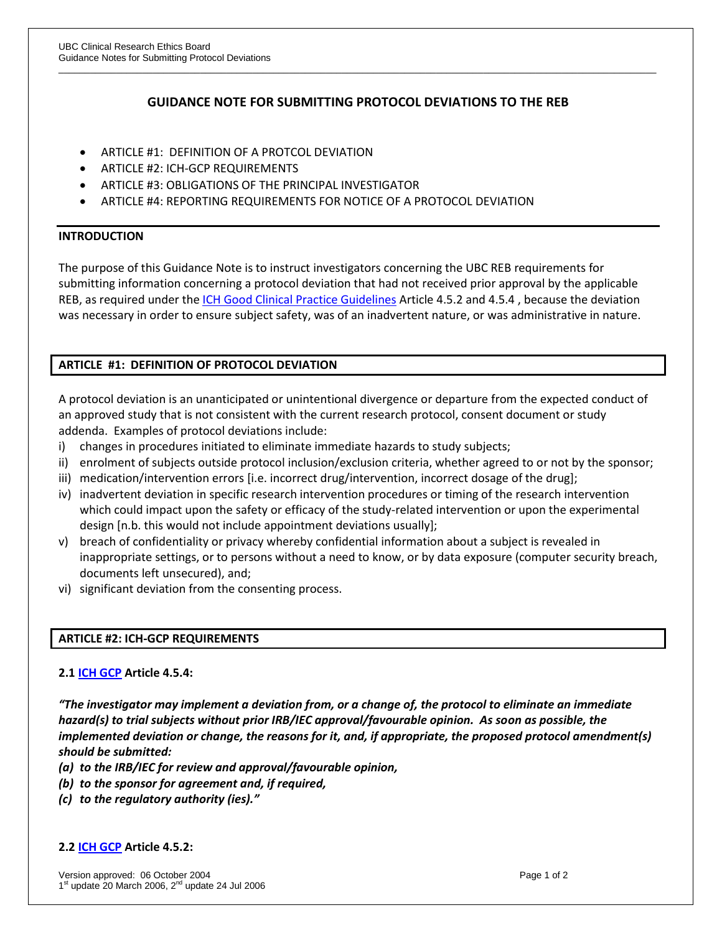# **GUIDANCE NOTE FOR SUBMITTING PROTOCOL DEVIATIONS TO THE REB**

\_\_\_\_\_\_\_\_\_\_\_\_\_\_\_\_\_\_\_\_\_\_\_\_\_\_\_\_\_\_\_\_\_\_\_\_\_\_\_\_\_\_\_\_\_\_\_\_\_\_\_\_\_\_\_\_\_\_\_\_\_\_\_\_\_\_\_\_\_\_\_\_\_\_\_\_\_\_\_\_\_\_\_\_\_\_\_\_\_\_\_\_\_\_\_\_\_\_\_\_\_\_\_\_\_\_\_\_\_\_\_\_\_\_

- ARTICLE #1: DEFINITION OF A PROTCOL DEVIATION
- ARTICLE #2: ICH-GCP REQUIREMENTS
- ARTICLE #3: OBLIGATIONS OF THE PRINCIPAL INVESTIGATOR
- ARTICLE #4: REPORTING REQUIREMENTS FOR NOTICE OF A PROTOCOL DEVIATION

### **INTRODUCTION**

The purpose of this Guidance Note is to instruct investigators concerning the UBC REB requirements for submitting information concerning a protocol deviation that had not received prior approval by the applicable REB, as required under the [ICH Good Clinical Practice Guidelines](http://www.fda.gov/cder/guidance/959fnl.pdf) Article 4.5.2 and 4.5.4 , because the deviation was necessary in order to ensure subject safety, was of an inadvertent nature, or was administrative in nature.

## **ARTICLE #1: DEFINITION OF PROTOCOL DEVIATION**

A protocol deviation is an unanticipated or unintentional divergence or departure from the expected conduct of an approved study that is not consistent with the current research protocol, consent document or study addenda. Examples of protocol deviations include:

- i) changes in procedures initiated to eliminate immediate hazards to study subjects;
- ii) enrolment of subjects outside protocol inclusion/exclusion criteria, whether agreed to or not by the sponsor;
- iii) medication/intervention errors [i.e. incorrect drug/intervention, incorrect dosage of the drug];
- iv) inadvertent deviation in specific research intervention procedures or timing of the research intervention which could impact upon the safety or efficacy of the study-related intervention or upon the experimental design [n.b. this would not include appointment deviations usually];
- v) breach of confidentiality or privacy whereby confidential information about a subject is revealed in inappropriate settings, or to persons without a need to know, or by data exposure (computer security breach, documents left unsecured), and;
- vi) significant deviation from the consenting process.

### **ARTICLE #2: ICH-GCP REQUIREMENTS**

### **2.1 [ICH GCP](http://www.fda.gov/cder/guidance/959fnl.pdf) Article 4.5.4:**

*"The investigator may implement a deviation from, or a change of, the protocol to eliminate an immediate hazard(s) to trial subjects without prior IRB/IEC approval/favourable opinion. As soon as possible, the implemented deviation or change, the reasons for it, and, if appropriate, the proposed protocol amendment(s) should be submitted:* 

- *(a) to the IRB/IEC for review and approval/favourable opinion,*
- *(b) to the sponsor for agreement and, if required,*
- *(c) to the regulatory authority (ies)."*

#### **2.2 [ICH GCP](http://www.fda.gov/cder/guidance/959fnl.pdf) Article 4.5.2:**